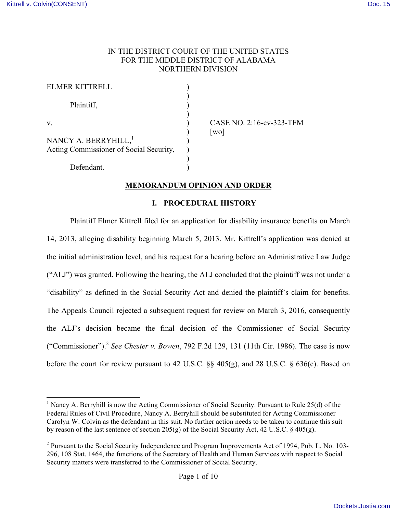## IN THE DISTRICT COURT OF THE UNITED STATES FOR THE MIDDLE DISTRICT OF ALABAMA NORTHERN DIVISION

| ELMER KITTRELL                          |  |
|-----------------------------------------|--|
| Plaintiff,                              |  |
| V                                       |  |
| NANCY A. BERRYHILL, <sup>1</sup>        |  |
| Acting Commissioner of Social Security, |  |
| Defendant.                              |  |

CASE NO. 2:16-cv-323-TFM  $\lceil$  wo $\rceil$ 

## **MEMORANDUM OPINION AND ORDER**

### **I. PROCEDURAL HISTORY**

Plaintiff Elmer Kittrell filed for an application for disability insurance benefits on March 14, 2013, alleging disability beginning March 5, 2013. Mr. Kittrell's application was denied at the initial administration level, and his request for a hearing before an Administrative Law Judge ("ALJ") was granted. Following the hearing, the ALJ concluded that the plaintiff was not under a "disability" as defined in the Social Security Act and denied the plaintiff's claim for benefits. The Appeals Council rejected a subsequent request for review on March 3, 2016, consequently the ALJ's decision became the final decision of the Commissioner of Social Security ("Commissioner").<sup>2</sup> *See Chester v. Bowen*, 792 F.2d 129, 131 (11th Cir. 1986). The case is now before the court for review pursuant to 42 U.S.C. §§ 405(g), and 28 U.S.C. § 636(c). Based on

<sup>&</sup>lt;sup>1</sup> Nancy A. Berryhill is now the Acting Commissioner of Social Security. Pursuant to Rule 25(d) of the Federal Rules of Civil Procedure, Nancy A. Berryhill should be substituted for Acting Commissioner Carolyn W. Colvin as the defendant in this suit. No further action needs to be taken to continue this suit by reason of the last sentence of section 205(g) of the Social Security Act, 42 U.S.C. § 405(g).

<sup>&</sup>lt;sup>2</sup> Pursuant to the Social Security Independence and Program Improvements Act of 1994, Pub. L. No. 103-296, 108 Stat. 1464, the functions of the Secretary of Health and Human Services with respect to Social Security matters were transferred to the Commissioner of Social Security.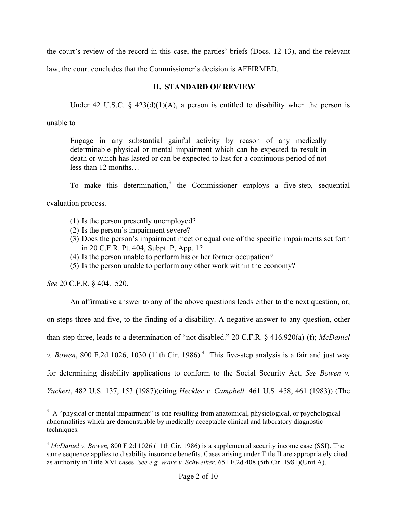the court's review of the record in this case, the parties' briefs (Docs. 12-13), and the relevant

law, the court concludes that the Commissioner's decision is AFFIRMED.

## **II. STANDARD OF REVIEW**

Under 42 U.S.C. § 423(d)(1)(A), a person is entitled to disability when the person is

unable to

Engage in any substantial gainful activity by reason of any medically determinable physical or mental impairment which can be expected to result in death or which has lasted or can be expected to last for a continuous period of not less than 12 months…

To make this determination,<sup>3</sup> the Commissioner employs a five-step, sequential evaluation process.

- (1) Is the person presently unemployed?
- (2) Is the person's impairment severe?
- (3) Does the person's impairment meet or equal one of the specific impairments set forth in 20 C.F.R. Pt. 404, Subpt. P, App. 1?
- (4) Is the person unable to perform his or her former occupation?
- (5) Is the person unable to perform any other work within the economy?

*See* 20 C.F.R. § 404.1520.

An affirmative answer to any of the above questions leads either to the next question, or, on steps three and five, to the finding of a disability. A negative answer to any question, other than step three, leads to a determination of "not disabled." 20 C.F.R. § 416.920(a)-(f); *McDaniel v. Bowen*, 800 F.2d 1026, 1030 (11th Cir. 1986).<sup>4</sup> This five-step analysis is a fair and just way for determining disability applications to conform to the Social Security Act. *See Bowen v. Yuckert*, 482 U.S. 137, 153 (1987)(citing *Heckler v. Campbell,* 461 U.S. 458, 461 (1983)) (The

<sup>&</sup>lt;sup>3</sup> A "physical or mental impairment" is one resulting from anatomical, physiological, or psychological abnormalities which are demonstrable by medically acceptable clinical and laboratory diagnostic techniques.

<sup>4</sup> *McDaniel v. Bowen,* 800 F.2d 1026 (11th Cir. 1986) is a supplemental security income case (SSI). The same sequence applies to disability insurance benefits. Cases arising under Title II are appropriately cited as authority in Title XVI cases. *See e.g. Ware v. Schweiker,* 651 F.2d 408 (5th Cir. 1981)(Unit A).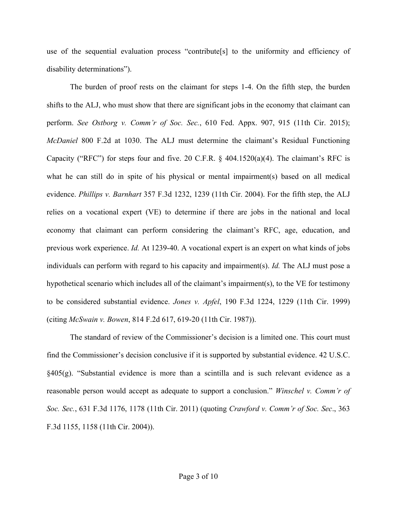use of the sequential evaluation process "contribute[s] to the uniformity and efficiency of disability determinations").

The burden of proof rests on the claimant for steps 1-4. On the fifth step, the burden shifts to the ALJ, who must show that there are significant jobs in the economy that claimant can perform. *See Ostborg v. Comm'r of Soc. Sec.*, 610 Fed. Appx. 907, 915 (11th Cir. 2015); *McDaniel* 800 F.2d at 1030. The ALJ must determine the claimant's Residual Functioning Capacity ("RFC") for steps four and five. 20 C.F.R.  $\S$  404.1520(a)(4). The claimant's RFC is what he can still do in spite of his physical or mental impairment(s) based on all medical evidence. *Phillips v. Barnhart* 357 F.3d 1232, 1239 (11th Cir. 2004). For the fifth step, the ALJ relies on a vocational expert (VE) to determine if there are jobs in the national and local economy that claimant can perform considering the claimant's RFC, age, education, and previous work experience. *Id.* At 1239-40. A vocational expert is an expert on what kinds of jobs individuals can perform with regard to his capacity and impairment(s). *Id.* The ALJ must pose a hypothetical scenario which includes all of the claimant's impairment(s), to the VE for testimony to be considered substantial evidence. *Jones v. Apfel*, 190 F.3d 1224, 1229 (11th Cir. 1999) (citing *McSwain v. Bowen*, 814 F.2d 617, 619-20 (11th Cir. 1987)).

The standard of review of the Commissioner's decision is a limited one. This court must find the Commissioner's decision conclusive if it is supported by substantial evidence. 42 U.S.C. §405(g). "Substantial evidence is more than a scintilla and is such relevant evidence as a reasonable person would accept as adequate to support a conclusion." *Winschel v. Comm'r of Soc. Sec.*, 631 F.3d 1176, 1178 (11th Cir. 2011) (quoting *Crawford v. Comm'r of Soc. Sec*., 363 F.3d 1155, 1158 (11th Cir. 2004)).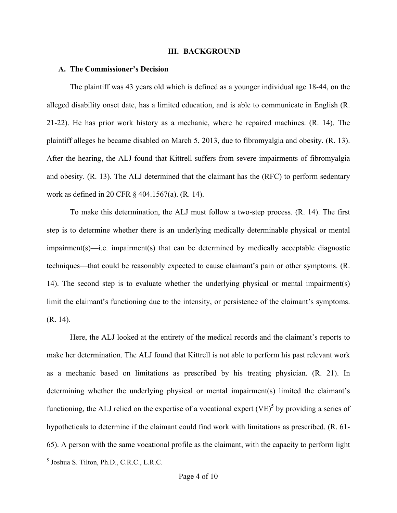#### **III. BACKGROUND**

#### **A. The Commissioner's Decision**

The plaintiff was 43 years old which is defined as a younger individual age 18-44, on the alleged disability onset date, has a limited education, and is able to communicate in English (R. 21-22). He has prior work history as a mechanic, where he repaired machines. (R. 14). The plaintiff alleges he became disabled on March 5, 2013, due to fibromyalgia and obesity. (R. 13). After the hearing, the ALJ found that Kittrell suffers from severe impairments of fibromyalgia and obesity. (R. 13). The ALJ determined that the claimant has the (RFC) to perform sedentary work as defined in 20 CFR § 404.1567(a). (R. 14).

To make this determination, the ALJ must follow a two-step process. (R. 14). The first step is to determine whether there is an underlying medically determinable physical or mental impairment(s)—i.e. impairment(s) that can be determined by medically acceptable diagnostic techniques—that could be reasonably expected to cause claimant's pain or other symptoms. (R. 14). The second step is to evaluate whether the underlying physical or mental impairment(s) limit the claimant's functioning due to the intensity, or persistence of the claimant's symptoms. (R. 14).

Here, the ALJ looked at the entirety of the medical records and the claimant's reports to make her determination. The ALJ found that Kittrell is not able to perform his past relevant work as a mechanic based on limitations as prescribed by his treating physician. (R. 21). In determining whether the underlying physical or mental impairment(s) limited the claimant's functioning, the ALJ relied on the expertise of a vocational expert  $(VE)^5$  by providing a series of hypotheticals to determine if the claimant could find work with limitations as prescribed. (R. 61- 65). A person with the same vocational profile as the claimant, with the capacity to perform light

 <sup>5</sup> Joshua S. Tilton, Ph.D., C.R.C., L.R.C.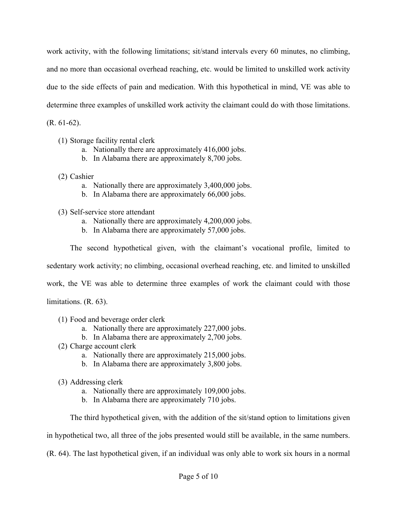work activity, with the following limitations; sit/stand intervals every 60 minutes, no climbing, and no more than occasional overhead reaching, etc. would be limited to unskilled work activity due to the side effects of pain and medication. With this hypothetical in mind, VE was able to determine three examples of unskilled work activity the claimant could do with those limitations.

(R. 61-62).

- (1) Storage facility rental clerk
	- a. Nationally there are approximately 416,000 jobs.
	- b. In Alabama there are approximately 8,700 jobs.
- (2) Cashier
	- a. Nationally there are approximately 3,400,000 jobs.
	- b. In Alabama there are approximately 66,000 jobs.
- (3) Self-service store attendant
	- a. Nationally there are approximately 4,200,000 jobs.
	- b. In Alabama there are approximately 57,000 jobs.

The second hypothetical given, with the claimant's vocational profile, limited to

sedentary work activity; no climbing, occasional overhead reaching, etc. and limited to unskilled

work, the VE was able to determine three examples of work the claimant could with those

limitations. (R. 63).

- (1) Food and beverage order clerk
	- a. Nationally there are approximately 227,000 jobs.
	- b. In Alabama there are approximately 2,700 jobs.
- (2) Charge account clerk
	- a. Nationally there are approximately 215,000 jobs.
	- b. In Alabama there are approximately 3,800 jobs.
- (3) Addressing clerk
	- a. Nationally there are approximately 109,000 jobs.
	- b. In Alabama there are approximately 710 jobs.

The third hypothetical given, with the addition of the sit/stand option to limitations given

in hypothetical two, all three of the jobs presented would still be available, in the same numbers.

(R. 64). The last hypothetical given, if an individual was only able to work six hours in a normal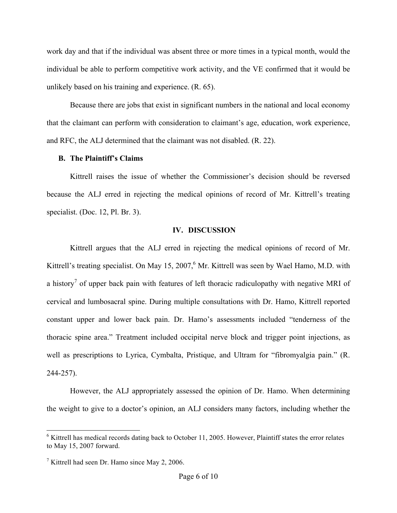work day and that if the individual was absent three or more times in a typical month, would the individual be able to perform competitive work activity, and the VE confirmed that it would be unlikely based on his training and experience. (R. 65).

Because there are jobs that exist in significant numbers in the national and local economy that the claimant can perform with consideration to claimant's age, education, work experience, and RFC, the ALJ determined that the claimant was not disabled. (R. 22).

### **B. The Plaintiff's Claims**

Kittrell raises the issue of whether the Commissioner's decision should be reversed because the ALJ erred in rejecting the medical opinions of record of Mr. Kittrell's treating specialist. (Doc. 12, Pl. Br. 3).

### **IV. DISCUSSION**

Kittrell argues that the ALJ erred in rejecting the medical opinions of record of Mr. Kittrell's treating specialist. On May 15, 2007,  $6$  Mr. Kittrell was seen by Wael Hamo, M.D. with a history<sup>7</sup> of upper back pain with features of left thoracic radiculopathy with negative MRI of cervical and lumbosacral spine. During multiple consultations with Dr. Hamo, Kittrell reported constant upper and lower back pain. Dr. Hamo's assessments included "tenderness of the thoracic spine area." Treatment included occipital nerve block and trigger point injections, as well as prescriptions to Lyrica, Cymbalta, Pristique, and Ultram for "fibromyalgia pain." (R. 244-257).

However, the ALJ appropriately assessed the opinion of Dr. Hamo. When determining the weight to give to a doctor's opinion, an ALJ considers many factors, including whether the

 $6$  Kittrell has medical records dating back to October 11, 2005. However, Plaintiff states the error relates to May 15, 2007 forward.

<sup>&</sup>lt;sup>7</sup> Kittrell had seen Dr. Hamo since May 2, 2006.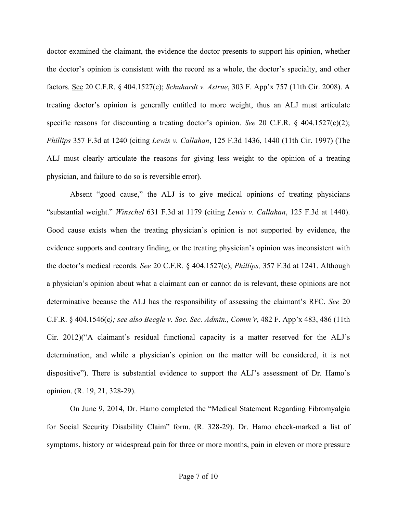doctor examined the claimant, the evidence the doctor presents to support his opinion, whether the doctor's opinion is consistent with the record as a whole, the doctor's specialty, and other factors. See 20 C.F.R. § 404.1527(c); *Schuhardt v. Astrue*, 303 F. App'x 757 (11th Cir. 2008). A treating doctor's opinion is generally entitled to more weight, thus an ALJ must articulate specific reasons for discounting a treating doctor's opinion. *See* 20 C.F.R. § 404.1527(c)(2); *Phillips* 357 F.3d at 1240 (citing *Lewis v. Callahan*, 125 F.3d 1436, 1440 (11th Cir. 1997) (The ALJ must clearly articulate the reasons for giving less weight to the opinion of a treating physician, and failure to do so is reversible error).

Absent "good cause," the ALJ is to give medical opinions of treating physicians "substantial weight." *Winschel* 631 F.3d at 1179 (citing *Lewis v. Callahan*, 125 F.3d at 1440). Good cause exists when the treating physician's opinion is not supported by evidence, the evidence supports and contrary finding, or the treating physician's opinion was inconsistent with the doctor's medical records. *See* 20 C.F.R. § 404.1527(c); *Phillips,* 357 F.3d at 1241. Although a physician's opinion about what a claimant can or cannot do is relevant, these opinions are not determinative because the ALJ has the responsibility of assessing the claimant's RFC. *See* 20 C.F.R. § 404.1546(c*); see also Beegle v. Soc. Sec. Admin., Comm'r*, 482 F. App'x 483, 486 (11th Cir. 2012)("A claimant's residual functional capacity is a matter reserved for the ALJ's determination, and while a physician's opinion on the matter will be considered, it is not dispositive"). There is substantial evidence to support the ALJ's assessment of Dr. Hamo's opinion. (R. 19, 21, 328-29).

On June 9, 2014, Dr. Hamo completed the "Medical Statement Regarding Fibromyalgia for Social Security Disability Claim" form. (R. 328-29). Dr. Hamo check-marked a list of symptoms, history or widespread pain for three or more months, pain in eleven or more pressure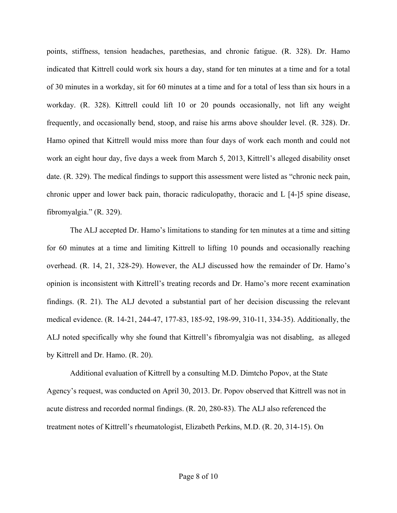points, stiffness, tension headaches, parethesias, and chronic fatigue. (R. 328). Dr. Hamo indicated that Kittrell could work six hours a day, stand for ten minutes at a time and for a total of 30 minutes in a workday, sit for 60 minutes at a time and for a total of less than six hours in a workday. (R. 328). Kittrell could lift 10 or 20 pounds occasionally, not lift any weight frequently, and occasionally bend, stoop, and raise his arms above shoulder level. (R. 328). Dr. Hamo opined that Kittrell would miss more than four days of work each month and could not work an eight hour day, five days a week from March 5, 2013, Kittrell's alleged disability onset date. (R. 329). The medical findings to support this assessment were listed as "chronic neck pain, chronic upper and lower back pain, thoracic radiculopathy, thoracic and L [4-]5 spine disease, fibromyalgia." (R. 329).

The ALJ accepted Dr. Hamo's limitations to standing for ten minutes at a time and sitting for 60 minutes at a time and limiting Kittrell to lifting 10 pounds and occasionally reaching overhead. (R. 14, 21, 328-29). However, the ALJ discussed how the remainder of Dr. Hamo's opinion is inconsistent with Kittrell's treating records and Dr. Hamo's more recent examination findings. (R. 21). The ALJ devoted a substantial part of her decision discussing the relevant medical evidence. (R. 14-21, 244-47, 177-83, 185-92, 198-99, 310-11, 334-35). Additionally, the ALJ noted specifically why she found that Kittrell's fibromyalgia was not disabling, as alleged by Kittrell and Dr. Hamo. (R. 20).

Additional evaluation of Kittrell by a consulting M.D. Dimtcho Popov, at the State Agency's request, was conducted on April 30, 2013. Dr. Popov observed that Kittrell was not in acute distress and recorded normal findings. (R. 20, 280-83). The ALJ also referenced the treatment notes of Kittrell's rheumatologist, Elizabeth Perkins, M.D. (R. 20, 314-15). On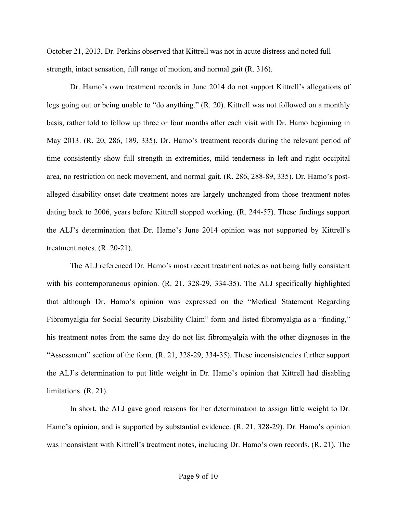October 21, 2013, Dr. Perkins observed that Kittrell was not in acute distress and noted full strength, intact sensation, full range of motion, and normal gait (R. 316).

Dr. Hamo's own treatment records in June 2014 do not support Kittrell's allegations of legs going out or being unable to "do anything." (R. 20). Kittrell was not followed on a monthly basis, rather told to follow up three or four months after each visit with Dr. Hamo beginning in May 2013. (R. 20, 286, 189, 335). Dr. Hamo's treatment records during the relevant period of time consistently show full strength in extremities, mild tenderness in left and right occipital area, no restriction on neck movement, and normal gait. (R. 286, 288-89, 335). Dr. Hamo's postalleged disability onset date treatment notes are largely unchanged from those treatment notes dating back to 2006, years before Kittrell stopped working. (R. 244-57). These findings support the ALJ's determination that Dr. Hamo's June 2014 opinion was not supported by Kittrell's treatment notes. (R. 20-21).

The ALJ referenced Dr. Hamo's most recent treatment notes as not being fully consistent with his contemporaneous opinion. (R. 21, 328-29, 334-35). The ALJ specifically highlighted that although Dr. Hamo's opinion was expressed on the "Medical Statement Regarding Fibromyalgia for Social Security Disability Claim" form and listed fibromyalgia as a "finding," his treatment notes from the same day do not list fibromyalgia with the other diagnoses in the "Assessment" section of the form. (R. 21, 328-29, 334-35). These inconsistencies further support the ALJ's determination to put little weight in Dr. Hamo's opinion that Kittrell had disabling limitations. (R. 21).

In short, the ALJ gave good reasons for her determination to assign little weight to Dr. Hamo's opinion, and is supported by substantial evidence. (R. 21, 328-29). Dr. Hamo's opinion was inconsistent with Kittrell's treatment notes, including Dr. Hamo's own records. (R. 21). The